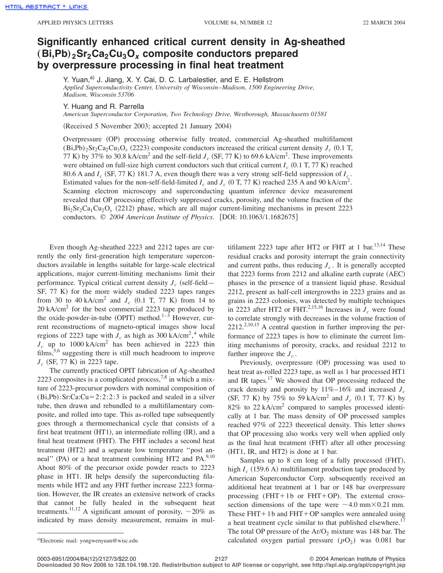## **Significantly enhanced critical current density in Ag-sheathed**  $(Bi, Pb)$ <sub>2</sub>Sr<sub>2</sub>Ca<sub>2</sub>Cu<sub>3</sub>O<sub>x</sub> composite conductors prepared **by overpressure processing in final heat treatment**

Y. Yuan,<sup>a)</sup> J. Jiang, X. Y. Cai, D. C. Larbalestier, and E. E. Hellstrom *Applied Superconductivity Center, University of Wisconsin*–*Madison, 1500 Engineering Drive, Madison, Wisconsin 53706*

Y. Huang and R. Parrella

*American Superconductor Corporation, Two Technology Drive, Westborough, Massachusetts 01581*

(Received 5 November 2003; accepted 21 January 2004)

Overpressure (OP) processing otherwise fully treated, commercial Ag-sheathed multifilament  $(Bi,Pb)_{2}Sr_{2}Ca_{2}Cu_{3}O_{x}$  (2223) composite conductors increased the critical current density  $J_{c}$  (0.1 T, 77 K) by 37% to 30.8 kA/cm<sup>2</sup> and the self-field  $J_c$  (SF, 77 K) to 69.6 kA/cm<sup>2</sup>. These improvements were obtained on full-size high current conductors such that critical current  $I_c$  (0.1 T, 77 K) reached 80.6 A and  $I_c$  (SF, 77 K) 181.7 A, even though there was a very strong self-field suppression of  $I_c$ . Estimated values for the non-self-field-limited  $I_c$  and  $J_c$  (0 T, 77 K) reached 235 A and 90 kA/cm<sup>2</sup>. Scanning electron microscopy and superconducting quantum inference device measurement revealed that OP processing effectively suppressed cracks, porosity, and the volume fraction of the  $Bi<sub>2</sub>Sr<sub>2</sub>Ca<sub>1</sub>Cu<sub>2</sub>O<sub>y</sub>$  (2212) phase, which are all major current-limiting mechanisms in present 2223 conductors. © 2004 American Institute of Physics. [DOI: 10.1063/1.1682675]

Even though Ag-sheathed 2223 and 2212 tapes are currently the only first-generation high temperature superconductors available in lengths suitable for large-scale electrical applications, major current-limiting mechanisms limit their performance. Typical critical current density  $J_c$  (self-field—  $SF, 77 K$  for the more widely studied 2223 tapes ranges from 30 to 40 kA/cm<sup>2</sup> and  $J_c$  (0.1 T, 77 K) from 14 to 20 kA/cm2 for the best commercial 2223 tape produced by the oxide-powder-in-tube (OPIT) method.<sup>1-3</sup> However, current reconstructions of magneto-optical images show local regions of 2223 tape with  $J_c$  as high as 300 kA/cm<sup>2</sup>,<sup>4</sup> while  $J_c$  up to 1000 kA/cm<sup>2</sup> has been achieved in 2223 thin films,<sup>5,6</sup> suggesting there is still much headroom to improve  $J_c$  (SF, 77 K) in 2223 tape.

The currently practiced OPIT fabrication of Ag-sheathed 2223 composites is a complicated process,  $7,8$  in which a mixture of 2223-precursor powders with nominal composition of  $(Bi, Pb):$ Sr:Ca:Cu=2:2:2:3 is packed and sealed in a silver tube, then drawn and rebundled to a multifilamentary composite, and rolled into tape. This as-rolled tape subsequently goes through a thermomechanical cycle that consists of a first heat treatment  $(HT1)$ , an intermediate rolling  $(IR)$ , and a final heat treatment (FHT). The FHT includes a second heat treatment (HT2) and a separate low temperature "post anneal" (PA) or a heat treatment combining HT2 and PA.<sup>9,10</sup> About 80% of the precursor oxide powder reacts to 2223 phase in HT1. IR helps densify the superconducting filaments while HT2 and any FHT further increase 2223 formation. However, the IR creates an extensive network of cracks that cannot be fully healed in the subsequent heat treatments.<sup>11,12</sup> A significant amount of porosity,  $\sim$  20% as indicated by mass density measurement, remains in mul-

tifilament 2223 tape after HT2 or FHT at 1 bar.<sup>13,14</sup> These residual cracks and porosity interrupt the grain connectivity and current paths, thus reducing  $J_c$ . It is generally accepted that  $2223$  forms from  $2212$  and alkaline earth cuprate  $(AEC)$ phases in the presence of a transient liquid phase. Residual 2212, present as half-cell intergrowths in 2223 grains and as grains in 2223 colonies, was detected by multiple techniques in 2223 after HT2 or FHT.<sup>2,15,16</sup> Increases in  $J_c$  were found to correlate strongly with decreases in the volume fraction of  $2212^{2,10,15}$  A central question in further improving the performance of 2223 tapes is how to eliminate the current limiting mechanisms of porosity, cracks, and residual 2212 to further improve the  $J_c$ .

Previously, overpressure (OP) processing was used to heat treat as-rolled 2223 tape, as well as 1 bar processed HT1 and IR tapes.<sup>17</sup> We showed that OP processing reduced the crack density and porosity by 11%–16% and increased *Jc*  $(SF, 77 K)$  by 75% to 59 kA/cm<sup>2</sup> and *J<sub>c</sub>* (0.1 T, 77 K) by 82% to 22 kA/cm2 compared to samples processed identically at 1 bar. The mass density of OP processed samples reached 97% of 2223 theoretical density. This letter shows that OP processing also works very well when applied only as the final heat treatment (FHT) after all other processing  $(HT1, IR, and HT2)$  is done at 1 bar.

Samples up to 8 cm long of a fully processed (FHT), high  $I_c$  (159.6 A) multifilament production tape produced by American Superconductor Corp. subsequently received an additional heat treatment at 1 bar or 148 bar overpressure processing (FHT+1b or FHT+OP). The external crosssection dimensions of the tape were  $\sim$  4.0 mm $\times$  0.21 mm. These  $FHT + 1b$  and  $FHT + OP$  samples were annealed using a heat treatment cycle similar to that published elsewhere.<sup>17</sup> The total OP pressure of the  $Ar/O<sub>2</sub>$  mixture was 148 bar. The calculated oxygen partial pressure  $(pO<sub>2</sub>)$  was 0.081 bar

**Downloaded 30 Nov 2006 to 128.104.198.120. Redistribution subject to AIP license or copyright, see http://apl.aip.org/apl/copyright.jsp**

a)Electronic mail: yongwenyuan@wisc.edu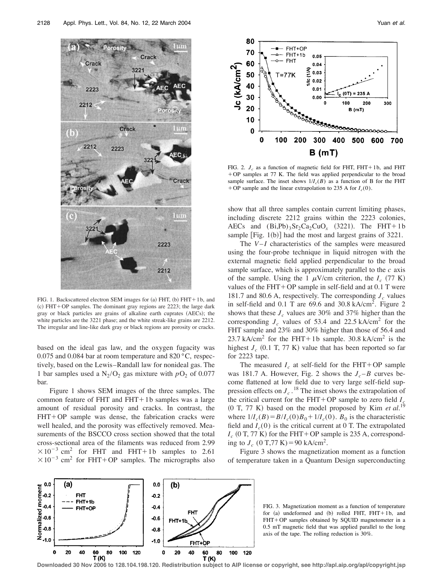

FIG. 1. Backscattered electron SEM images for (a) FHT, (b)  $FHT + 1b$ , and  $(c)$  FHT+OP samples. The dominant gray regions are 2223; the large dark gray or black particles are grains of alkaline earth cuprates (AECs); the white particles are the 3221 phase; and the white streak-like grains are 2212. The irregular and line-like dark gray or black regions are porosity or cracks.

based on the ideal gas law, and the oxygen fugacity was 0.075 and 0.084 bar at room temperature and 820 °C, respectively, based on the Lewis–Randall law for nonideal gas. The 1 bar samples used a  $N_2/O_2$  gas mixture with  $pO_2$  of 0.077 bar.

Figure 1 shows SEM images of the three samples. The common feature of FHT and  $FHT + 1b$  samples was a large amount of residual porosity and cracks. In contrast, the  $FHT+OP$  sample was dense, the fabrication cracks were well healed, and the porosity was effectively removed. Measurements of the BSCCO cross section showed that the total cross-sectional area of the filaments was reduced from 2.99  $\times 10^{-3}$  cm<sup>2</sup> for FHT and FHT+1b samples to 2.61  $\times 10^{-3}$  cm<sup>2</sup> for FHT+OP samples. The micrographs also



FIG. 2.  $J_c$  as a function of magnetic field for FHT, FHT+1b, and FHT + OP samples at 77 K. The field was applied perpendicular to the broad sample surface. The inset shows  $1/I_c(B)$  as a function of B for the FHT + OP sample and the linear extrapolation to 235 A for  $I_c(0)$ .

show that all three samples contain current limiting phases, including discrete 2212 grains within the 2223 colonies, AECs and  $(Bi,Pb)$ <sub>3</sub>Sr<sub>2</sub>Ca<sub>2</sub>CuO<sub>x</sub> (3221). The FHT+1b sample  $[Fig. 1(b)]$  had the most and largest grains of 3221.

The *V*–*I* characteristics of the samples were measured using the four-probe technique in liquid nitrogen with the external magnetic field applied perpendicular to the broad sample surface, which is approximately parallel to the *c* axis of the sample. Using the 1  $\mu$ V/cm criterion, the *I<sub>c</sub>* (77 K) values of the  $FHT + OP$  sample in self-field and at 0.1 T were 181.7 and 80.6 A, respectively. The corresponding  $J_c$  values in self-field and  $0.1$  T are 69.6 and  $30.8$  kA/cm<sup>2</sup>. Figure 2 shows that these  $J_c$  values are 30% and 37% higher than the corresponding  $J_c$  values of 53.4 and 22.5 kA/cm<sup>2</sup> for the FHT sample and 23% and 30% higher than those of 56.4 and 23.7 kA/cm<sup>2</sup> for the FHT+1b sample. 30.8 kA/cm<sup>2</sup> is the highest  $J_c$  (0.1 T, 77 K) value that has been reported so far for 2223 tape.

The measured  $I_c$  at self-field for the FHT+OP sample was 181.7 A. However, Fig. 2 shows the  $J_c-B$  curves become flattened at low field due to very large self-field suppression effects on  $J_c$ .<sup>18</sup> The inset shows the extrapolation of the critical current for the FHT+OP sample to zero field  $I_c$  $(0 \text{ T}, 77 \text{ K})$  based on the model proposed by Kim *et al.*<sup>19</sup> where  $1/I_c(B) = B/I_c(0)B_0 + 1/I_c(0)$ .  $B_0$  is the characteristic field and  $I_c(0)$  is the critical current at 0 T. The extrapolated  $I_c$  (0 T, 77 K) for the FHT+OP sample is 235 A, corresponding to  $J_c$  (0 T,77 K) = 90 kA/cm<sup>2</sup>.

Figure 3 shows the magnetization moment as a function of temperature taken in a Quantum Design superconducting





**Downloaded 30 Nov 2006 to 128.104.198.120. Redistribution subject to AIP license or copyright, see http://apl.aip.org/apl/copyright.jsp**